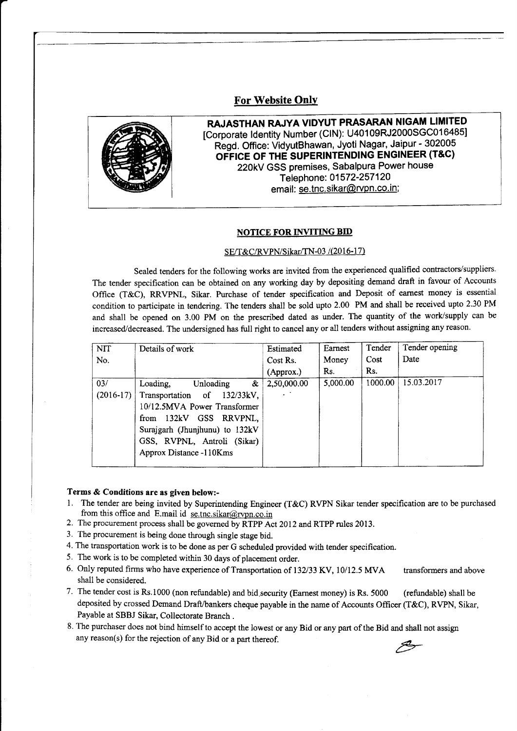## **For Website Only**



RAJASTHAN RAJYA VIDYUT PRASARAN NIGAM LIMITED [Corporate Identity Number (CIN): U40109RJ2000SGC016485] Regd. Office: VidyutBhawan, Jyoti Nagar, Jaipur - 302005 OFFICE OF THE SUPERINTENDING ENGINEER (T&C) 22OkV GSS premises, Sabalpura Power house Telephone: 01572-257120 email: se.tnc.sikar@rvpn.co.in;

## **NOTICE FOR INVITING BID**

## SE/T&C/RVPN/Sikar/TN-03 /(2016-17)

Sealed tenders for the following works are invited from the experienced qualified contractors/suppliers. The tender specification can be obtained on any working day by depositing demand draft in favour of Accounts Office (T&C), RRVPNL, Sikar. Purchase of tender specification and Deposit of eamest money is essential condition to participate in tendering. The tenders shall be sold upto 2.00 PM and shall be received upto 2.30 PM and shall be opened on 3.00 PM on the prescribed dated as under. The quantity of the work/supply can be increased/decreased. The undersigned has full right to cancel any or all tenders without assigning any reason.

| <b>NIT</b>  | Details of work                   | Estimated   | Earnest  | Tender  | Tender opening |
|-------------|-----------------------------------|-------------|----------|---------|----------------|
| No.         |                                   | Cost Rs.    | Money    | Cost    | Date           |
|             |                                   | (Approx.)   | Rs.      | Rs.     |                |
| 03/         | Loading,<br>Unloading<br>$\alpha$ | 2,50,000.00 | 5,000.00 | 1000.00 | 15.03.2017     |
| $(2016-17)$ | Transportation of 132/33kV,       |             |          |         |                |
|             | 10/12.5MVA Power Transformer      |             |          |         |                |
|             | from 132kV GSS RRVPNL,            |             |          |         |                |
|             | Surajgarh (Jhunjhunu) to 132kV    |             |          |         |                |
|             | GSS, RVPNL, Antroli (Sikar)       |             |          |         |                |
|             | Approx Distance -110Kms           |             |          |         |                |
|             |                                   |             |          |         |                |

## Terms & Conditions are as given below:-

- 1. The tender are being invited by Superintending Engineer (T&C) RVPN Sikar tender specification are to be purchased from this office and E.mail id  $\frac{\text{se.inc.iskar}(\omega) \cdot \text{rvpn.co.in}}{$
- 2. The procurement process shall be governed by RTPP Act 2012 and RTPP rules 2013.
- 3. The procurement is being done through single stage bid.
- 4. The transportation work is to be done as per G schedulsd provided with tender specification.
- 5. The work is to be completed within 30 days of placement order.
- 6. Only reputed firms who have experience of Transportation of 132/33 KV, 10/12.5 MVA transformers and above shall be considered.
- 7. The tender cost is Rs.1000 (non refundable) and bid.security (Earnest money) is Rs. 5000 (refundable) shall be deposited by crossed Demand Draft/bankers cheque payable in the name of Accounts Officer (T&C), RVPN, Sikar, Payable at SBBJ Sikar, Collectorate Branch .
- 8. The purchaser does not bind himself to accept the iowest or any Bid or ary part of the Bid and shall not assignany reason(s) for the rejection of any Bid or a part thereof.

Z?